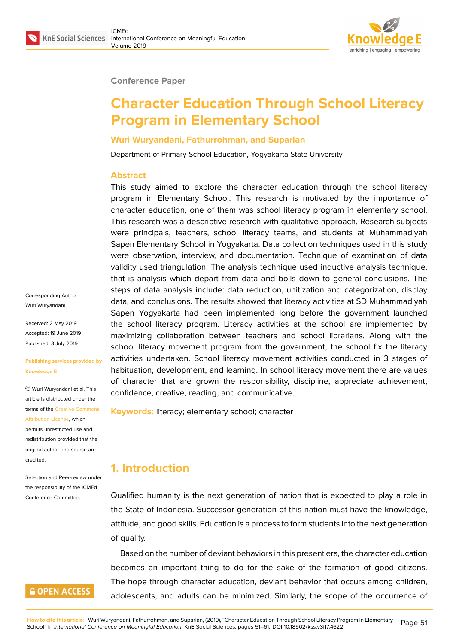#### **Conference Paper**

# **Character Education Through School Literacy Program in Elementary School**

#### **Wuri Wuryandani, Fathurrohman, and Suparlan**

Department of Primary School Education, Yogyakarta State University

#### **Abstract**

This study aimed to explore the character education through the school literacy program in Elementary School. This research is motivated by the importance of character education, one of them was school literacy program in elementary school. This research was a descriptive research with qualitative approach. Research subjects were principals, teachers, school literacy teams, and students at Muhammadiyah Sapen Elementary School in Yogyakarta. Data collection techniques used in this study were observation, interview, and documentation. Technique of examination of data validity used triangulation. The analysis technique used inductive analysis technique, that is analysis which depart from data and boils down to general conclusions. The steps of data analysis include: data reduction, unitization and categorization, display data, and conclusions. The results showed that literacy activities at SD Muhammadiyah Sapen Yogyakarta had been implemented long before the government launched the school literacy program. Literacy activities at the school are implemented by maximizing collaboration between teachers and school librarians. Along with the school literacy movement program from the government, the school fix the literacy activities undertaken. School literacy movement activities conducted in 3 stages of habituation, development, and learning. In school literacy movement there are values of character that are grown the responsibility, discipline, appreciate achievement, confidence, creative, reading, and communicative.

**Keywords:** literacy; elementary school; character

## **1. Introduction**

Qualified humanity is the next generation of nation that is expected to play a role in the State of Indonesia. Successor generation of this nation must have the knowledge, attitude, and good skills. Education is a process to form students into the next generation of quality.

Based on the number of deviant behaviors in this present era, the character education becomes an important thing to do for the sake of the formation of good citizens. The hope through character education, deviant behavior that occurs among children, adolescents, and adults can be minimized. Similarly, the scope of the occurrence of

Corresponding Author: Wuri Wuryandani

Received: 2 May 2019 Accepted: 19 June 2019 Published: 3 July 2019

#### **Publishing services provided by Knowledge E**

Wuri Wuryandani et al. This article is distributed under the terms of the Creative Commons Attribution License, which permits unrestricted use and redistribution provided that the original auth[or and source are](https://creativecommons.org/licenses/by/4.0/) [credited.](https://creativecommons.org/licenses/by/4.0/)

Selection and Peer-review under the responsibility of the ICMEd Conference Committee.

### **GOPEN ACCESS**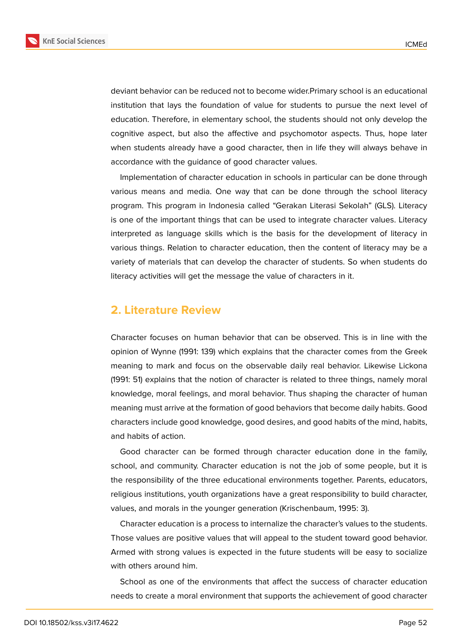

deviant behavior can be reduced not to become wider.Primary school is an educational institution that lays the foundation of value for students to pursue the next level of education. Therefore, in elementary school, the students should not only develop the cognitive aspect, but also the affective and psychomotor aspects. Thus, hope later when students already have a good character, then in life they will always behave in accordance with the guidance of good character values.

Implementation of character education in schools in particular can be done through various means and media. One way that can be done through the school literacy program. This program in Indonesia called "Gerakan Literasi Sekolah" (GLS). Literacy is one of the important things that can be used to integrate character values. Literacy interpreted as language skills which is the basis for the development of literacy in various things. Relation to character education, then the content of literacy may be a variety of materials that can develop the character of students. So when students do literacy activities will get the message the value of characters in it.

### **2. Literature Review**

Character focuses on human behavior that can be observed. This is in line with the opinion of Wynne (1991: 139) which explains that the character comes from the Greek meaning to mark and focus on the observable daily real behavior. Likewise Lickona (1991: 51) explains that the notion of character is related to three things, namely moral knowledge, moral feelings, and moral behavior. Thus shaping the character of human meaning must arrive at the formation of good behaviors that become daily habits. Good characters include good knowledge, good desires, and good habits of the mind, habits, and habits of action.

Good character can be formed through character education done in the family, school, and community. Character education is not the job of some people, but it is the responsibility of the three educational environments together. Parents, educators, religious institutions, youth organizations have a great responsibility to build character, values, and morals in the younger generation (Krischenbaum, 1995: 3).

Character education is a process to internalize the character's values to the students. Those values are positive values that will appeal to the student toward good behavior. Armed with strong values is expected in the future students will be easy to socialize with others around him.

School as one of the environments that affect the success of character education needs to create a moral environment that supports the achievement of good character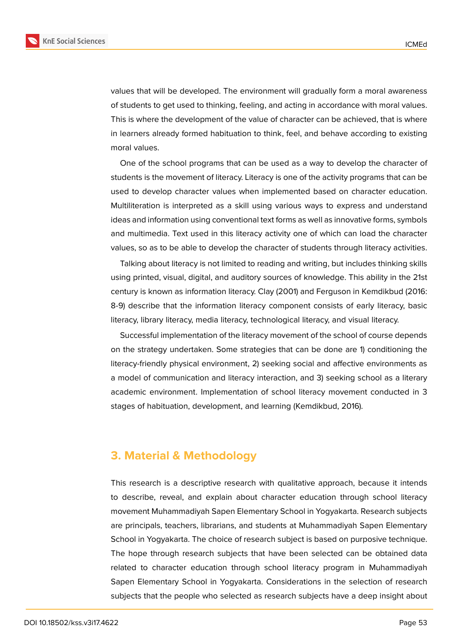

values that will be developed. The environment will gradually form a moral awareness of students to get used to thinking, feeling, and acting in accordance with moral values. This is where the development of the value of character can be achieved, that is where in learners already formed habituation to think, feel, and behave according to existing moral values.

One of the school programs that can be used as a way to develop the character of students is the movement of literacy. Literacy is one of the activity programs that can be used to develop character values when implemented based on character education. Multiliteration is interpreted as a skill using various ways to express and understand ideas and information using conventional text forms as well as innovative forms, symbols and multimedia. Text used in this literacy activity one of which can load the character values, so as to be able to develop the character of students through literacy activities.

Talking about literacy is not limited to reading and writing, but includes thinking skills using printed, visual, digital, and auditory sources of knowledge. This ability in the 21st century is known as information literacy. Clay (2001) and Ferguson in Kemdikbud (2016: 8-9) describe that the information literacy component consists of early literacy, basic literacy, library literacy, media literacy, technological literacy, and visual literacy.

Successful implementation of the literacy movement of the school of course depends on the strategy undertaken. Some strategies that can be done are 1) conditioning the literacy-friendly physical environment, 2) seeking social and affective environments as a model of communication and literacy interaction, and 3) seeking school as a literary academic environment. Implementation of school literacy movement conducted in 3 stages of habituation, development, and learning (Kemdikbud, 2016).

#### **3. Material & Methodology**

This research is a descriptive research with qualitative approach, because it intends to describe, reveal, and explain about character education through school literacy movement Muhammadiyah Sapen Elementary School in Yogyakarta. Research subjects are principals, teachers, librarians, and students at Muhammadiyah Sapen Elementary School in Yogyakarta. The choice of research subject is based on purposive technique. The hope through research subjects that have been selected can be obtained data related to character education through school literacy program in Muhammadiyah Sapen Elementary School in Yogyakarta. Considerations in the selection of research subjects that the people who selected as research subjects have a deep insight about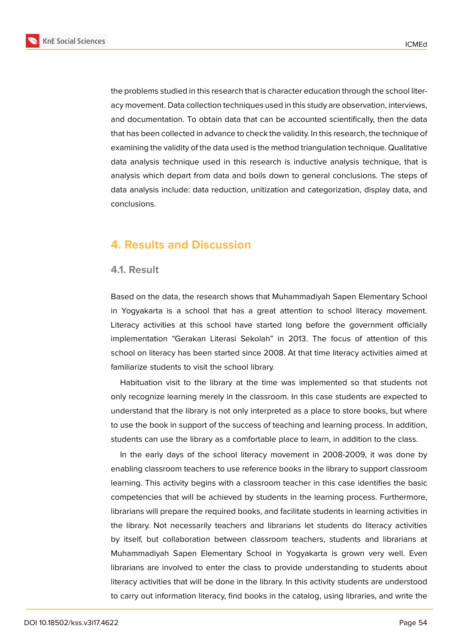



the problems studied in this research that is character education through the school literacy movement. Data collection techniques used in this study are observation, interviews, and documentation. To obtain data that can be accounted scientifically, then the data that has been collected in advance to check the validity. In this research, the technique of examining the validity of the data used is the method triangulation technique. Qualitative data analysis technique used in this research is inductive analysis technique, that is analysis which depart from data and boils down to general conclusions. The steps of data analysis include: data reduction, unitization and categorization, display data, and

## **4. Results and Discussion**

#### **4.1. Result**

conclusions.

Based on the data, the research shows that Muhammadiyah Sapen Elementary School in Yogyakarta is a school that has a great attention to school literacy movement. Literacy activities at this school have started long before the government officially implementation "Gerakan Literasi Sekolah" in 2013. The focus of attention of this school on literacy has been started since 2008. At that time literacy activities aimed at familiarize students to visit the school library.

Habituation visit to the library at the time was implemented so that students not only recognize learning merely in the classroom. In this case students are expected to understand that the library is not only interpreted as a place to store books, but where to use the book in support of the success of teaching and learning process. In addition, students can use the library as a comfortable place to learn, in addition to the class.

In the early days of the school literacy movement in 2008-2009, it was done by enabling classroom teachers to use reference books in the library to support classroom learning. This activity begins with a classroom teacher in this case identifies the basic competencies that will be achieved by students in the learning process. Furthermore, librarians will prepare the required books, and facilitate students in learning activities in the library. Not necessarily teachers and librarians let students do literacy activities by itself, but collaboration between classroom teachers, students and librarians at Muhammadiyah Sapen Elementary School in Yogyakarta is grown very well. Even librarians are involved to enter the class to provide understanding to students about literacy activities that will be done in the library. In this activity students are understood to carry out information literacy, find books in the catalog, using libraries, and write the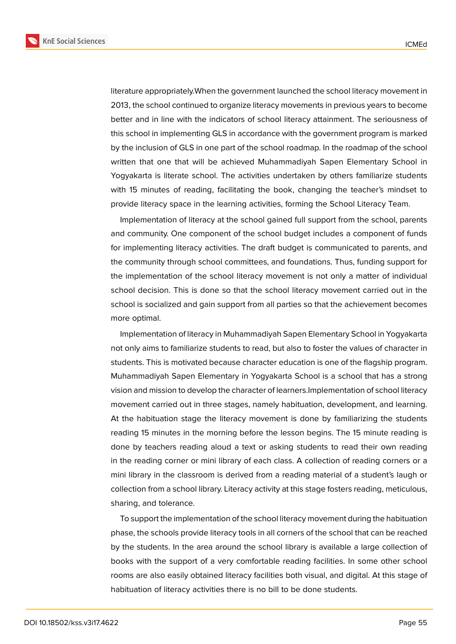



literature appropriately.When the government launched the school literacy movement in 2013, the school continued to organize literacy movements in previous years to become better and in line with the indicators of school literacy attainment. The seriousness of this school in implementing GLS in accordance with the government program is marked by the inclusion of GLS in one part of the school roadmap. In the roadmap of the school written that one that will be achieved Muhammadiyah Sapen Elementary School in Yogyakarta is literate school. The activities undertaken by others familiarize students with 15 minutes of reading, facilitating the book, changing the teacher's mindset to provide literacy space in the learning activities, forming the School Literacy Team.

Implementation of literacy at the school gained full support from the school, parents and community. One component of the school budget includes a component of funds for implementing literacy activities. The draft budget is communicated to parents, and the community through school committees, and foundations. Thus, funding support for the implementation of the school literacy movement is not only a matter of individual school decision. This is done so that the school literacy movement carried out in the school is socialized and gain support from all parties so that the achievement becomes more optimal.

Implementation of literacy in Muhammadiyah Sapen Elementary School in Yogyakarta not only aims to familiarize students to read, but also to foster the values of character in students. This is motivated because character education is one of the flagship program. Muhammadiyah Sapen Elementary in Yogyakarta School is a school that has a strong vision and mission to develop the character of learners.Implementation of school literacy movement carried out in three stages, namely habituation, development, and learning. At the habituation stage the literacy movement is done by familiarizing the students reading 15 minutes in the morning before the lesson begins. The 15 minute reading is done by teachers reading aloud a text or asking students to read their own reading in the reading corner or mini library of each class. A collection of reading corners or a mini library in the classroom is derived from a reading material of a student's laugh or collection from a school library. Literacy activity at this stage fosters reading, meticulous, sharing, and tolerance.

To support the implementation of the school literacy movement during the habituation phase, the schools provide literacy tools in all corners of the school that can be reached by the students. In the area around the school library is available a large collection of books with the support of a very comfortable reading facilities. In some other school rooms are also easily obtained literacy facilities both visual, and digital. At this stage of habituation of literacy activities there is no bill to be done students.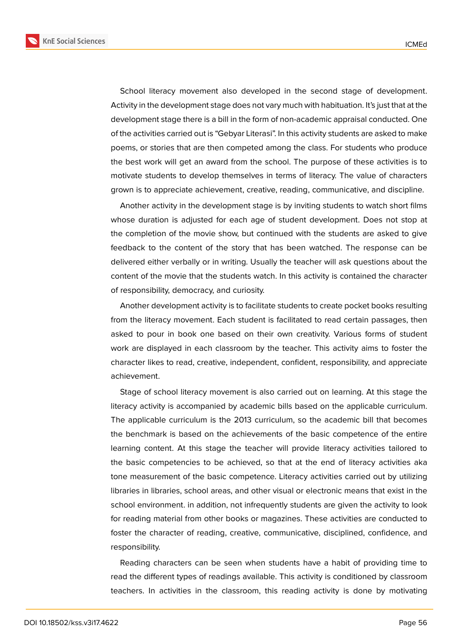

School literacy movement also developed in the second stage of development. Activity in the development stage does not vary much with habituation. It's just that at the development stage there is a bill in the form of non-academic appraisal conducted. One of the activities carried out is "Gebyar Literasi". In this activity students are asked to make poems, or stories that are then competed among the class. For students who produce the best work will get an award from the school. The purpose of these activities is to motivate students to develop themselves in terms of literacy. The value of characters grown is to appreciate achievement, creative, reading, communicative, and discipline.

Another activity in the development stage is by inviting students to watch short films whose duration is adjusted for each age of student development. Does not stop at the completion of the movie show, but continued with the students are asked to give feedback to the content of the story that has been watched. The response can be delivered either verbally or in writing. Usually the teacher will ask questions about the content of the movie that the students watch. In this activity is contained the character of responsibility, democracy, and curiosity.

Another development activity is to facilitate students to create pocket books resulting from the literacy movement. Each student is facilitated to read certain passages, then asked to pour in book one based on their own creativity. Various forms of student work are displayed in each classroom by the teacher. This activity aims to foster the character likes to read, creative, independent, confident, responsibility, and appreciate achievement.

Stage of school literacy movement is also carried out on learning. At this stage the literacy activity is accompanied by academic bills based on the applicable curriculum. The applicable curriculum is the 2013 curriculum, so the academic bill that becomes the benchmark is based on the achievements of the basic competence of the entire learning content. At this stage the teacher will provide literacy activities tailored to the basic competencies to be achieved, so that at the end of literacy activities aka tone measurement of the basic competence. Literacy activities carried out by utilizing libraries in libraries, school areas, and other visual or electronic means that exist in the school environment. in addition, not infrequently students are given the activity to look for reading material from other books or magazines. These activities are conducted to foster the character of reading, creative, communicative, disciplined, confidence, and responsibility.

Reading characters can be seen when students have a habit of providing time to read the different types of readings available. This activity is conditioned by classroom teachers. In activities in the classroom, this reading activity is done by motivating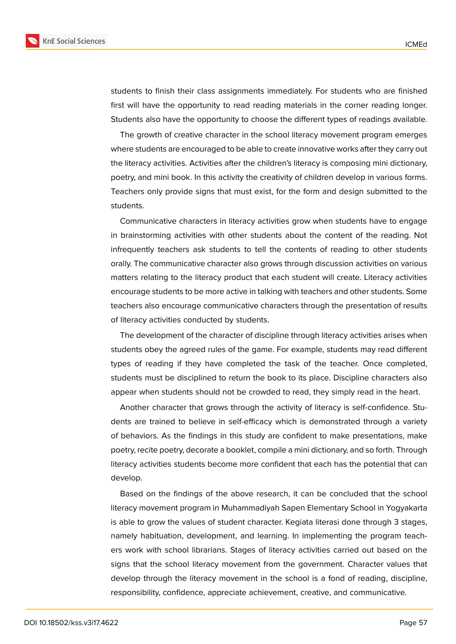

students to finish their class assignments immediately. For students who are finished first will have the opportunity to read reading materials in the corner reading longer. Students also have the opportunity to choose the different types of readings available.

The growth of creative character in the school literacy movement program emerges where students are encouraged to be able to create innovative works after they carry out the literacy activities. Activities after the children's literacy is composing mini dictionary, poetry, and mini book. In this activity the creativity of children develop in various forms. Teachers only provide signs that must exist, for the form and design submitted to the students.

Communicative characters in literacy activities grow when students have to engage in brainstorming activities with other students about the content of the reading. Not infrequently teachers ask students to tell the contents of reading to other students orally. The communicative character also grows through discussion activities on various matters relating to the literacy product that each student will create. Literacy activities encourage students to be more active in talking with teachers and other students. Some teachers also encourage communicative characters through the presentation of results of literacy activities conducted by students.

The development of the character of discipline through literacy activities arises when students obey the agreed rules of the game. For example, students may read different types of reading if they have completed the task of the teacher. Once completed, students must be disciplined to return the book to its place. Discipline characters also appear when students should not be crowded to read, they simply read in the heart.

Another character that grows through the activity of literacy is self-confidence. Students are trained to believe in self-efficacy which is demonstrated through a variety of behaviors. As the findings in this study are confident to make presentations, make poetry, recite poetry, decorate a booklet, compile a mini dictionary, and so forth. Through literacy activities students become more confident that each has the potential that can develop.

Based on the findings of the above research, it can be concluded that the school literacy movement program in Muhammadiyah Sapen Elementary School in Yogyakarta is able to grow the values of student character. Kegiata literasi done through 3 stages, namely habituation, development, and learning. In implementing the program teachers work with school librarians. Stages of literacy activities carried out based on the signs that the school literacy movement from the government. Character values that develop through the literacy movement in the school is a fond of reading, discipline, responsibility, confidence, appreciate achievement, creative, and communicative.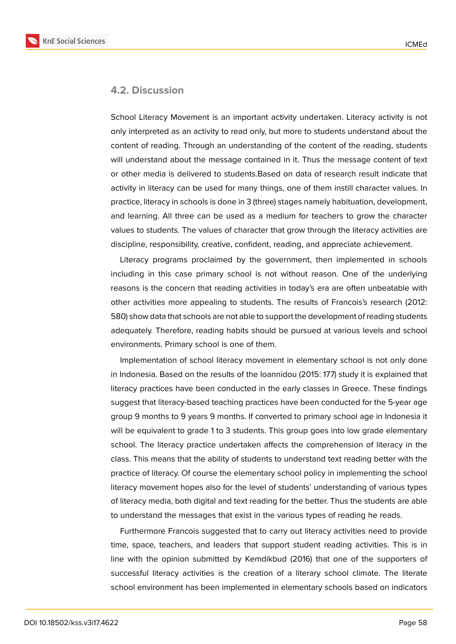

#### **4.2. Discussion**

School Literacy Movement is an important activity undertaken. Literacy activity is not only interpreted as an activity to read only, but more to students understand about the content of reading. Through an understanding of the content of the reading, students will understand about the message contained in it. Thus the message content of text or other media is delivered to students.Based on data of research result indicate that activity in literacy can be used for many things, one of them instill character values. In practice, literacy in schools is done in 3 (three) stages namely habituation, development, and learning. All three can be used as a medium for teachers to grow the character values to students. The values of character that grow through the literacy activities are discipline, responsibility, creative, confident, reading, and appreciate achievement.

Literacy programs proclaimed by the government, then implemented in schools including in this case primary school is not without reason. One of the underlying reasons is the concern that reading activities in today's era are often unbeatable with other activities more appealing to students. The results of Francois's research (2012: 580) show data that schools are not able to support the development of reading students adequately. Therefore, reading habits should be pursued at various levels and school environments. Primary school is one of them.

Implementation of school literacy movement in elementary school is not only done in Indonesia. Based on the results of the Ioannidou (2015: 177) study it is explained that literacy practices have been conducted in the early classes in Greece. These findings suggest that literacy-based teaching practices have been conducted for the 5-year age group 9 months to 9 years 9 months. If converted to primary school age in Indonesia it will be equivalent to grade 1 to 3 students. This group goes into low grade elementary school. The literacy practice undertaken affects the comprehension of literacy in the class. This means that the ability of students to understand text reading better with the practice of literacy. Of course the elementary school policy in implementing the school literacy movement hopes also for the level of students' understanding of various types of literacy media, both digital and text reading for the better. Thus the students are able to understand the messages that exist in the various types of reading he reads.

Furthermore Francois suggested that to carry out literacy activities need to provide time, space, teachers, and leaders that support student reading activities. This is in line with the opinion submitted by Kemdikbud (2016) that one of the supporters of successful literacy activities is the creation of a literary school climate. The literate school environment has been implemented in elementary schools based on indicators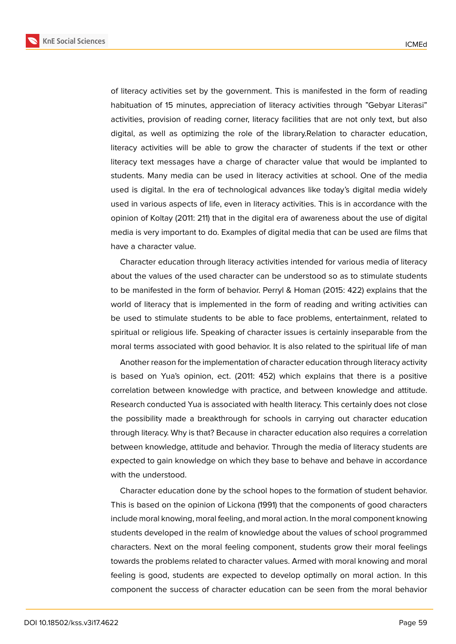

of literacy activities set by the government. This is manifested in the form of reading habituation of 15 minutes, appreciation of literacy activities through "Gebyar Literasi" activities, provision of reading corner, literacy facilities that are not only text, but also digital, as well as optimizing the role of the library.Relation to character education, literacy activities will be able to grow the character of students if the text or other literacy text messages have a charge of character value that would be implanted to students. Many media can be used in literacy activities at school. One of the media used is digital. In the era of technological advances like today's digital media widely used in various aspects of life, even in literacy activities. This is in accordance with the opinion of Koltay (2011: 211) that in the digital era of awareness about the use of digital media is very important to do. Examples of digital media that can be used are films that have a character value.

Character education through literacy activities intended for various media of literacy about the values of the used character can be understood so as to stimulate students to be manifested in the form of behavior. Perryl & Homan (2015: 422) explains that the world of literacy that is implemented in the form of reading and writing activities can be used to stimulate students to be able to face problems, entertainment, related to spiritual or religious life. Speaking of character issues is certainly inseparable from the moral terms associated with good behavior. It is also related to the spiritual life of man

Another reason for the implementation of character education through literacy activity is based on Yua's opinion, ect. (2011: 452) which explains that there is a positive correlation between knowledge with practice, and between knowledge and attitude. Research conducted Yua is associated with health literacy. This certainly does not close the possibility made a breakthrough for schools in carrying out character education through literacy. Why is that? Because in character education also requires a correlation between knowledge, attitude and behavior. Through the media of literacy students are expected to gain knowledge on which they base to behave and behave in accordance with the understood.

Character education done by the school hopes to the formation of student behavior. This is based on the opinion of Lickona (1991) that the components of good characters include moral knowing, moral feeling, and moral action. In the moral component knowing students developed in the realm of knowledge about the values of school programmed characters. Next on the moral feeling component, students grow their moral feelings towards the problems related to character values. Armed with moral knowing and moral feeling is good, students are expected to develop optimally on moral action. In this component the success of character education can be seen from the moral behavior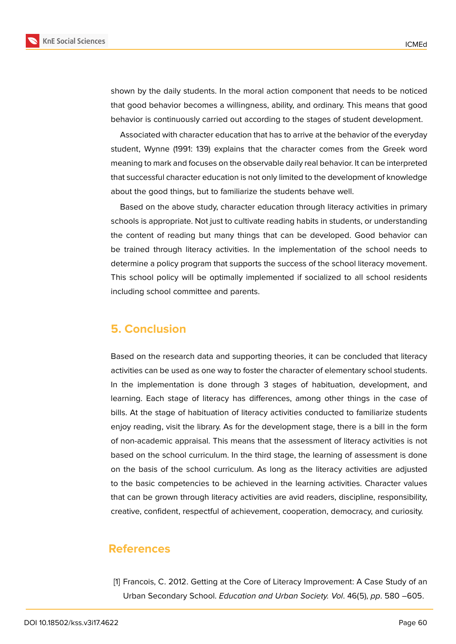

shown by the daily students. In the moral action component that needs to be noticed that good behavior becomes a willingness, ability, and ordinary. This means that good behavior is continuously carried out according to the stages of student development.

Associated with character education that has to arrive at the behavior of the everyday student, Wynne (1991: 139) explains that the character comes from the Greek word meaning to mark and focuses on the observable daily real behavior. It can be interpreted that successful character education is not only limited to the development of knowledge about the good things, but to familiarize the students behave well.

Based on the above study, character education through literacy activities in primary schools is appropriate. Not just to cultivate reading habits in students, or understanding the content of reading but many things that can be developed. Good behavior can be trained through literacy activities. In the implementation of the school needs to determine a policy program that supports the success of the school literacy movement. This school policy will be optimally implemented if socialized to all school residents including school committee and parents.

### **5. Conclusion**

Based on the research data and supporting theories, it can be concluded that literacy activities can be used as one way to foster the character of elementary school students. In the implementation is done through 3 stages of habituation, development, and learning. Each stage of literacy has differences, among other things in the case of bills. At the stage of habituation of literacy activities conducted to familiarize students enjoy reading, visit the library. As for the development stage, there is a bill in the form of non-academic appraisal. This means that the assessment of literacy activities is not based on the school curriculum. In the third stage, the learning of assessment is done on the basis of the school curriculum. As long as the literacy activities are adjusted to the basic competencies to be achieved in the learning activities. Character values that can be grown through literacy activities are avid readers, discipline, responsibility, creative, confident, respectful of achievement, cooperation, democracy, and curiosity.

### **References**

[1] Francois, C. 2012. Getting at the Core of Literacy Improvement: A Case Study of an Urban Secondary School. *Education and Urban Society. Vol*. 46(5), *pp*. 580 –605.